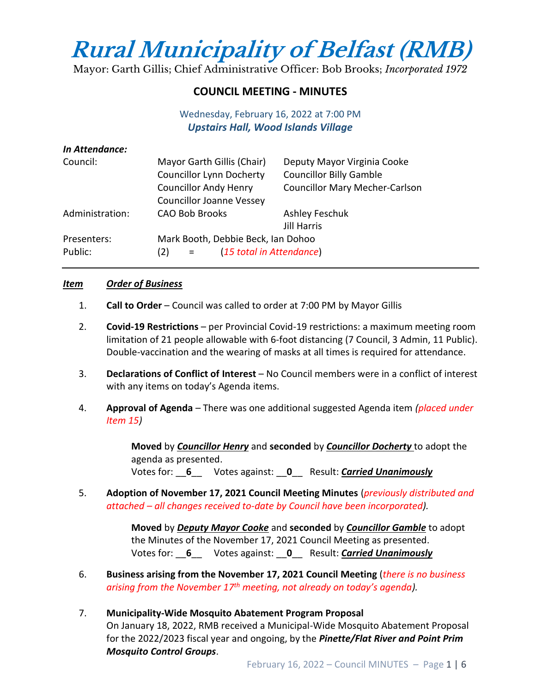# **Rural Municipality of Belfast (RMB)**

Mayor: Garth Gillis; Chief Administrative Officer: Bob Brooks; *Incorporated 1972*

# **COUNCIL MEETING - MINUTES**

## Wednesday, February 16, 2022 at 7:00 PM *Upstairs Hall, Wood Islands Village*

| In Attendance:  |                                                    |                                       |
|-----------------|----------------------------------------------------|---------------------------------------|
| Council:        | Mayor Garth Gillis (Chair)                         | Deputy Mayor Virginia Cooke           |
|                 | <b>Councillor Lynn Docherty</b>                    | <b>Councillor Billy Gamble</b>        |
|                 | <b>Councillor Andy Henry</b>                       | <b>Councillor Mary Mecher-Carlson</b> |
|                 | <b>Councillor Joanne Vessey</b>                    |                                       |
| Administration: | <b>CAO Bob Brooks</b>                              | <b>Ashley Feschuk</b>                 |
|                 |                                                    | <b>Jill Harris</b>                    |
| Presenters:     | Mark Booth, Debbie Beck, Ian Dohoo                 |                                       |
| Public:         | (15 total in Attendance)<br>(2)<br>$\alpha = 0.05$ |                                       |

#### *Item Order of Business*

- 1. **Call to Order** Council was called to order at 7:00 PM by Mayor Gillis
- 2. **Covid-19 Restrictions**  per Provincial Covid-19 restrictions: a maximum meeting room limitation of 21 people allowable with 6-foot distancing (7 Council, 3 Admin, 11 Public). Double-vaccination and the wearing of masks at all times is required for attendance.
- 3. **Declarations of Conflict of Interest** No Council members were in a conflict of interest with any items on today's Agenda items.
- 4. **Approval of Agenda**  There was one additional suggested Agenda item *(placed under Item 15)*

**Moved** by *Councillor Henry* and **seconded** by *Councillor Docherty* to adopt the agenda as presented. Votes for: \_\_**6**\_\_ Votes against: \_\_**0**\_\_ Result: *Carried Unanimously*

5. **Adoption of November 17, 2021 Council Meeting Minutes** (*previously distributed and attached – all changes received to-date by Council have been incorporated).*

> **Moved** by *Deputy Mayor Cooke* and **seconded** by *Councillor Gamble* to adopt the Minutes of the November 17, 2021 Council Meeting as presented. Votes for: \_\_**6**\_\_ Votes against: \_\_**0**\_\_ Result: *Carried Unanimously*

6. **Business arising from the November 17, 2021 Council Meeting** (*there is no business arising from the November 17th meeting, not already on today's agenda).*

### 7. **Municipality-Wide Mosquito Abatement Program Proposal**

On January 18, 2022, RMB received a Municipal-Wide Mosquito Abatement Proposal for the 2022/2023 fiscal year and ongoing, by the *Pinette/Flat River and Point Prim Mosquito Control Groups*.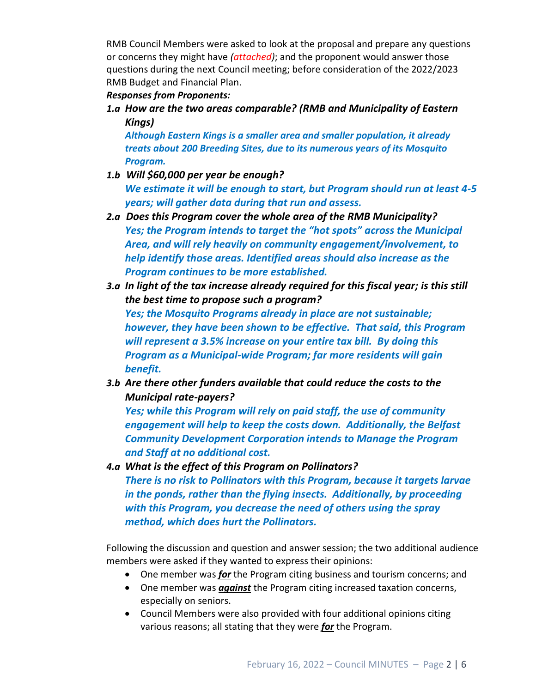RMB Council Members were asked to look at the proposal and prepare any questions or concerns they might have *(attached)*; and the proponent would answer those questions during the next Council meeting; before consideration of the 2022/2023 RMB Budget and Financial Plan.

#### *Responses from Proponents:*

*1.a How are the two areas comparable? (RMB and Municipality of Eastern Kings)*

*Although Eastern Kings is a smaller area and smaller population, it already treats about 200 Breeding Sites, due to its numerous years of its Mosquito Program.*

- *1.b Will \$60,000 per year be enough? We estimate it will be enough to start, but Program should run at least 4-5 years; will gather data during that run and assess.*
- *2.a Does this Program cover the whole area of the RMB Municipality? Yes; the Program intends to target the "hot spots" across the Municipal Area, and will rely heavily on community engagement/involvement, to help identify those areas. Identified areas should also increase as the Program continues to be more established.*
- *3.a In light of the tax increase already required for this fiscal year; is this still the best time to propose such a program? Yes; the Mosquito Programs already in place are not sustainable; however, they have been shown to be effective. That said, this Program will represent a 3.5% increase on your entire tax bill. By doing this Program as a Municipal-wide Program; far more residents will gain benefit.*
- *3.b Are there other funders available that could reduce the costs to the Municipal rate-payers?*

*Yes; while this Program will rely on paid staff, the use of community engagement will help to keep the costs down. Additionally, the Belfast Community Development Corporation intends to Manage the Program and Staff at no additional cost.*

*4.a What is the effect of this Program on Pollinators? There is no risk to Pollinators with this Program, because it targets larvae in the ponds, rather than the flying insects. Additionally, by proceeding with this Program, you decrease the need of others using the spray method, which does hurt the Pollinators.*

Following the discussion and question and answer session; the two additional audience members were asked if they wanted to express their opinions:

- One member was *for* the Program citing business and tourism concerns; and
- One member was *against* the Program citing increased taxation concerns, especially on seniors.
- Council Members were also provided with four additional opinions citing various reasons; all stating that they were *for* the Program.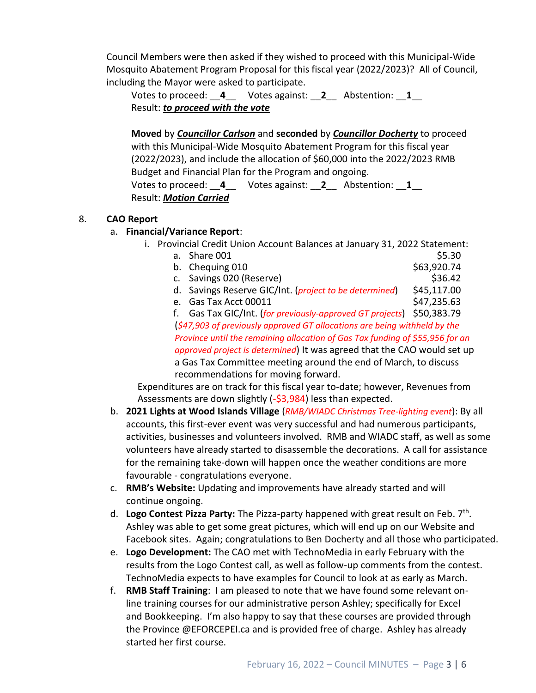Council Members were then asked if they wished to proceed with this Municipal-Wide Mosquito Abatement Program Proposal for this fiscal year (2022/2023)? All of Council, including the Mayor were asked to participate.

Votes to proceed: \_\_**4**\_\_ Votes against: \_\_**2**\_\_ Abstention: \_\_**1**\_\_ Result: *to proceed with the vote*

**Moved** by *Councillor Carlson* and **seconded** by *Councillor Docherty* to proceed with this Municipal-Wide Mosquito Abatement Program for this fiscal year (2022/2023), and include the allocation of \$60,000 into the 2022/2023 RMB Budget and Financial Plan for the Program and ongoing. Votes to proceed: \_\_**4**\_\_ Votes against: \_\_**2**\_\_ Abstention: \_\_**1**\_\_ Result: *Motion Carried*

#### 8. **CAO Report**

#### a. **Financial/Variance Report**:

- i. Provincial Credit Union Account Balances at January 31, 2022 Statement:
	- a. Share 001 \$5.30
	- b. Chequing  $010$  \$63,920.74 c. Savings 020 (Reserve)  $\frac{1}{2}$  636.42
	- d. Savings Reserve GIC/Int. (*project to be determined*) \$45,117.00
	- e. Gas Tax Acct 00011 \$47,235.63

f. Gas Tax GIC/Int. (*for previously-approved GT projects*) \$50,383.79 (*\$47,903 of previously approved GT allocations are being withheld by the Province until the remaining allocation of Gas Tax funding of \$55,956 for an approved project is determined*) It was agreed that the CAO would set up a Gas Tax Committee meeting around the end of March, to discuss recommendations for moving forward.

Expenditures are on track for this fiscal year to-date; however, Revenues from Assessments are down slightly (-\$3,984) less than expected.

- b. **2021 Lights at Wood Islands Village** (*RMB/WIADC Christmas Tree-lighting event*): By all accounts, this first-ever event was very successful and had numerous participants, activities, businesses and volunteers involved. RMB and WIADC staff, as well as some volunteers have already started to disassemble the decorations. A call for assistance for the remaining take-down will happen once the weather conditions are more favourable - congratulations everyone.
- c. **RMB's Website:** Updating and improvements have already started and will continue ongoing.
- d. Logo Contest Pizza Party: The Pizza-party happened with great result on Feb. 7<sup>th</sup>. Ashley was able to get some great pictures, which will end up on our Website and Facebook sites. Again; congratulations to Ben Docherty and all those who participated.
- e. **Logo Development:** The CAO met with TechnoMedia in early February with the results from the Logo Contest call, as well as follow-up comments from the contest. TechnoMedia expects to have examples for Council to look at as early as March.
- f. **RMB Staff Training**: I am pleased to note that we have found some relevant online training courses for our administrative person Ashley; specifically for Excel and Bookkeeping. I'm also happy to say that these courses are provided through the Province @EFORCEPEI.ca and is provided free of charge. Ashley has already started her first course.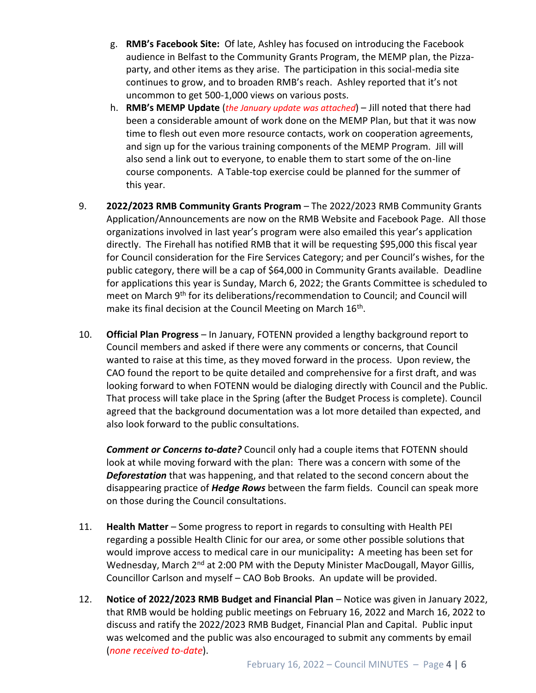- g. **RMB's Facebook Site:** Of late, Ashley has focused on introducing the Facebook audience in Belfast to the Community Grants Program, the MEMP plan, the Pizzaparty, and other items as they arise. The participation in this social-media site continues to grow, and to broaden RMB's reach. Ashley reported that it's not uncommon to get 500-1,000 views on various posts.
- h. **RMB's MEMP Update** (*the January update was attached*) Jill noted that there had been a considerable amount of work done on the MEMP Plan, but that it was now time to flesh out even more resource contacts, work on cooperation agreements, and sign up for the various training components of the MEMP Program. Jill will also send a link out to everyone, to enable them to start some of the on-line course components. A Table-top exercise could be planned for the summer of this year.
- 9. **2022/2023 RMB Community Grants Program**  The 2022/2023 RMB Community Grants Application/Announcements are now on the RMB Website and Facebook Page. All those organizations involved in last year's program were also emailed this year's application directly. The Firehall has notified RMB that it will be requesting \$95,000 this fiscal year for Council consideration for the Fire Services Category; and per Council's wishes, for the public category, there will be a cap of \$64,000 in Community Grants available. Deadline for applications this year is Sunday, March 6, 2022; the Grants Committee is scheduled to meet on March 9th for its deliberations/recommendation to Council; and Council will make its final decision at the Council Meeting on March 16<sup>th</sup>.
- 10. **Official Plan Progress** In January, FOTENN provided a lengthy background report to Council members and asked if there were any comments or concerns, that Council wanted to raise at this time, as they moved forward in the process. Upon review, the CAO found the report to be quite detailed and comprehensive for a first draft, and was looking forward to when FOTENN would be dialoging directly with Council and the Public. That process will take place in the Spring (after the Budget Process is complete). Council agreed that the background documentation was a lot more detailed than expected, and also look forward to the public consultations.

*Comment or Concerns to-date?* Council only had a couple items that FOTENN should look at while moving forward with the plan: There was a concern with some of the *Deforestation* that was happening, and that related to the second concern about the disappearing practice of *Hedge Rows* between the farm fields. Council can speak more on those during the Council consultations.

- 11. **Health Matter**  Some progress to report in regards to consulting with Health PEI regarding a possible Health Clinic for our area, or some other possible solutions that would improve access to medical care in our municipality**:** A meeting has been set for Wednesday, March 2<sup>nd</sup> at 2:00 PM with the Deputy Minister MacDougall, Mayor Gillis, Councillor Carlson and myself – CAO Bob Brooks. An update will be provided.
- 12. **Notice of 2022/2023 RMB Budget and Financial Plan**  Notice was given in January 2022, that RMB would be holding public meetings on February 16, 2022 and March 16, 2022 to discuss and ratify the 2022/2023 RMB Budget, Financial Plan and Capital. Public input was welcomed and the public was also encouraged to submit any comments by email (*none received to-date*).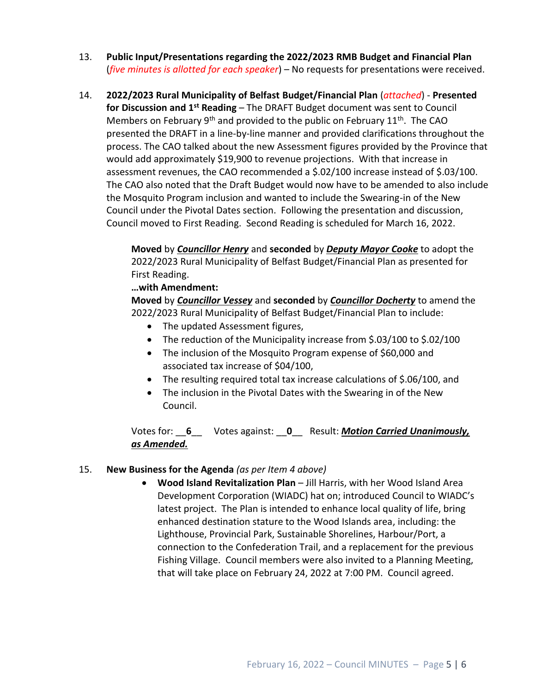- 13. **Public Input/Presentations regarding the 2022/2023 RMB Budget and Financial Plan**  (*five minutes is allotted for each speaker*) – No requests for presentations were received.
- 14. **2022/2023 Rural Municipality of Belfast Budget/Financial Plan** (*attached*) **Presented for Discussion and 1st Reading** – The DRAFT Budget document was sent to Council Members on February  $9<sup>th</sup>$  and provided to the public on February 11<sup>th</sup>. The CAO presented the DRAFT in a line-by-line manner and provided clarifications throughout the process. The CAO talked about the new Assessment figures provided by the Province that would add approximately \$19,900 to revenue projections. With that increase in assessment revenues, the CAO recommended a \$.02/100 increase instead of \$.03/100. The CAO also noted that the Draft Budget would now have to be amended to also include the Mosquito Program inclusion and wanted to include the Swearing-in of the New Council under the Pivotal Dates section. Following the presentation and discussion, Council moved to First Reading. Second Reading is scheduled for March 16, 2022.

**Moved** by *Councillor Henry* and **seconded** by *Deputy Mayor Cooke* to adopt the 2022/2023 Rural Municipality of Belfast Budget/Financial Plan as presented for First Reading.

#### **…with Amendment:**

**Moved** by *Councillor Vessey* and **seconded** by *Councillor Docherty* to amend the 2022/2023 Rural Municipality of Belfast Budget/Financial Plan to include:

- The updated Assessment figures,
- The reduction of the Municipality increase from \$.03/100 to \$.02/100
- The inclusion of the Mosquito Program expense of \$60,000 and associated tax increase of \$04/100,
- The resulting required total tax increase calculations of \$.06/100, and
- The inclusion in the Pivotal Dates with the Swearing in of the New Council.

Votes for: \_\_**6**\_\_ Votes against: \_\_**0**\_\_ Result: *Motion Carried Unanimously, as Amended.*

#### 15. **New Business for the Agenda** *(as per Item 4 above)*

• **Wood Island Revitalization Plan** – Jill Harris, with her Wood Island Area Development Corporation (WIADC) hat on; introduced Council to WIADC's latest project. The Plan is intended to enhance local quality of life, bring enhanced destination stature to the Wood Islands area, including: the Lighthouse, Provincial Park, Sustainable Shorelines, Harbour/Port, a connection to the Confederation Trail, and a replacement for the previous Fishing Village. Council members were also invited to a Planning Meeting, that will take place on February 24, 2022 at 7:00 PM. Council agreed.